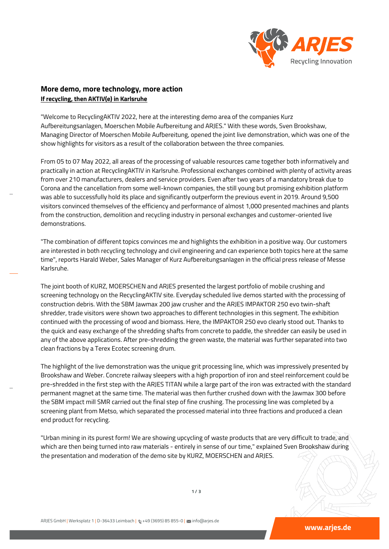

## **More demo, more technology, more action If recycling, then AKTIV(e) in Karlsruhe**

"Welcome to RecyclingAKTIV 2022, here at the interesting demo area of the companies Kurz Aufbereitungsanlagen, Moerschen Mobile Aufbereitung and ARJES." With these words, Sven Brookshaw, Managing Director of Moerschen Mobile Aufbereitung, opened the joint live demonstration, which was one of the show highlights for visitors as a result of the collaboration between the three companies.

From 05 to 07 May 2022, all areas of the processing of valuable resources came together both informatively and practically in action at RecyclingAKTIV in Karlsruhe. Professional exchanges combined with plenty of activity areas from over 210 manufacturers, dealers and service providers. Even after two years of a mandatory break due to Corona and the cancellation from some well-known companies, the still young but promising exhibition platform was able to successfully hold its place and significantly outperform the previous event in 2019. Around 9,500 visitors convinced themselves of the efficiency and performance of almost 1,000 presented machines and plants from the construction, demolition and recycling industry in personal exchanges and customer-oriented live demonstrations.

"The combination of different topics convinces me and highlights the exhibition in a positive way. Our customers are interested in both recycling technology and civil engineering and can experience both topics here at the same time", reports Harald Weber, Sales Manager of Kurz Aufbereitungsanlagen in the official press release of Messe Karlsruhe.

The joint booth of KURZ, MOERSCHEN and ARJES presented the largest portfolio of mobile crushing and screening technology on the RecyclingAKTIV site. Everyday scheduled live demos started with the processing of construction debris. With the SBM Jawmax 200 jaw crusher and the ARJES IMPAKTOR 250 evo twin-shaft shredder, trade visitors were shown two approaches to different technologies in this segment. The exhibition continued with the processing of wood and biomass. Here, the IMPAKTOR 250 evo clearly stood out. Thanks to the quick and easy exchange of the shredding shafts from concrete to paddle, the shredder can easily be used in any of the above applications. After pre-shredding the green waste, the material was further separated into two clean fractions by a Terex Ecotec screening drum.

The highlight of the live demonstration was the unique grit processing line, which was impressively presented by Brookshaw and Weber. Concrete railway sleepers with a high proportion of iron and steel reinforcement could be pre-shredded in the first step with the ARJES TITAN while a large part of the iron was extracted with the standard permanent magnet at the same time. The material was then further crushed down with the Jawmax 300 before the SBM impact mill SMR carried out the final step of fine crushing. The processing line was completed by a screening plant from Metso, which separated the processed material into three fractions and produced a clean end product for recycling.

"Urban mining in its purest form! We are showing upcycling of waste products that are very difficult to trade, and which are then being turned into raw materials - entirely in sense of our time," explained Sven Brookshaw during the presentation and moderation of the demo site by KURZ, MOERSCHEN and ARJES.

**1 / 3**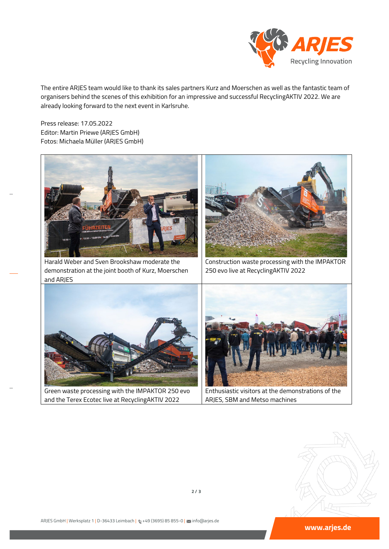

The entire ARJES team would like to thank its sales partners Kurz and Moerschen as well as the fantastic team of organisers behind the scenes of this exhibition for an impressive and successful RecyclingAKTIV 2022. We are already looking forward to the next event in Karlsruhe.

Press release: 17.05.2022 Editor: Martin Priewe (ARJES GmbH) Fotos: Michaela Müller (ARJES GmbH)



Harald Weber and Sven Brookshaw moderate the demonstration at the joint booth of Kurz, Moerschen and ARJES



Construction waste processing with the IMPAKTOR 250 evo live at RecyclingAKTIV 2022



Green waste processing with the IMPAKTOR 250 evo and the Terex Ecotec live at RecyclingAKTIV 2022



Enthusiastic visitors at the demonstrations of the ARJES, SBM and Metso machines